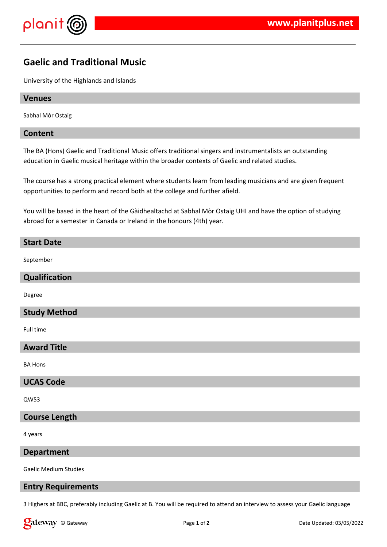

# **Gaelic and Traditional Music**

University of the Highlands and Islands

## **Venues**

Sabhal Mòr Ostaig

## **Content**

The BA (Hons) Gaelic and Traditional Music offers traditional singers and instrumentalists an outstanding education in Gaelic musical heritage within the broader contexts of Gaelic and related studies.

The course has a strong practical element where students learn from leading musicians and are given frequent opportunities to perform and record both at the college and further afield.

You will be based in the heart of the Gàidhealtachd at Sabhal Mòr Ostaig UHI and have the option of studying abroad for a semester in Canada or Ireland in the honours (4th) year.

## **Start Date**

September

## **Qualification**

Degree

## **Study Method**

Full time

## **Award Title**

BA Hons

## **UCAS Code**

QW53

## **Course Length**

4 years

#### **Department**

Gaelic Medium Studies

## **Entry Requirements**

3 Highers at BBC, preferably including Gaelic at B. You will be required to attend an interview to assess your Gaelic language